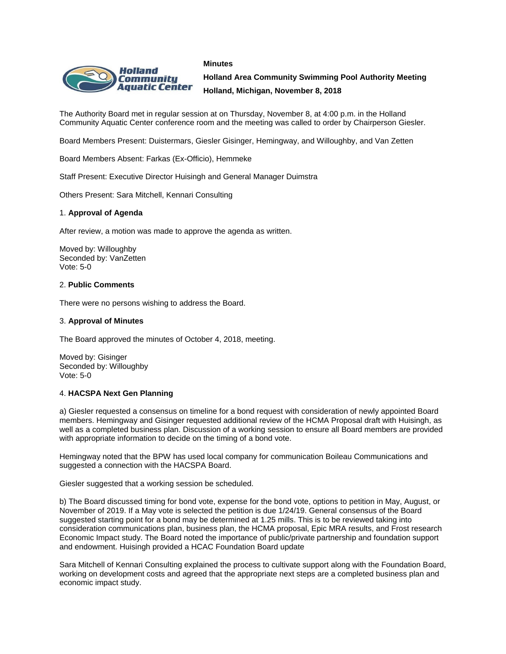#### **Minutes**



**Holland Area Community Swimming Pool Authority Meeting Holland, Michigan, November 8, 2018**

The Authority Board met in regular session at on Thursday, November 8, at 4:00 p.m. in the Holland Community Aquatic Center conference room and the meeting was called to order by Chairperson Giesler.

Board Members Present: Duistermars, Giesler Gisinger, Hemingway, and Willoughby, and Van Zetten

Board Members Absent: Farkas (Ex-Officio), Hemmeke

Staff Present: Executive Director Huisingh and General Manager Duimstra

Others Present: Sara Mitchell, Kennari Consulting

## 1. **Approval of Agenda**

After review, a motion was made to approve the agenda as written.

Moved by: Willoughby Seconded by: VanZetten Vote: 5-0

## 2. **Public Comments**

There were no persons wishing to address the Board.

#### 3. **Approval of Minutes**

The Board approved the minutes of October 4, 2018, meeting.

Moved by: Gisinger Seconded by: Willoughby Vote: 5-0

## 4. **HACSPA Next Gen Planning**

a) Giesler requested a consensus on timeline for a bond request with consideration of newly appointed Board members. Hemingway and Gisinger requested additional review of the HCMA Proposal draft with Huisingh, as well as a completed business plan. Discussion of a working session to ensure all Board members are provided with appropriate information to decide on the timing of a bond vote.

Hemingway noted that the BPW has used local company for communication Boileau Communications and suggested a connection with the HACSPA Board.

Giesler suggested that a working session be scheduled.

b) The Board discussed timing for bond vote, expense for the bond vote, options to petition in May, August, or November of 2019. If a May vote is selected the petition is due 1/24/19. General consensus of the Board suggested starting point for a bond may be determined at 1.25 mills. This is to be reviewed taking into consideration communications plan, business plan, the HCMA proposal, Epic MRA results, and Frost research Economic Impact study. The Board noted the importance of public/private partnership and foundation support and endowment. Huisingh provided a HCAC Foundation Board update

Sara Mitchell of Kennari Consulting explained the process to cultivate support along with the Foundation Board, working on development costs and agreed that the appropriate next steps are a completed business plan and economic impact study.